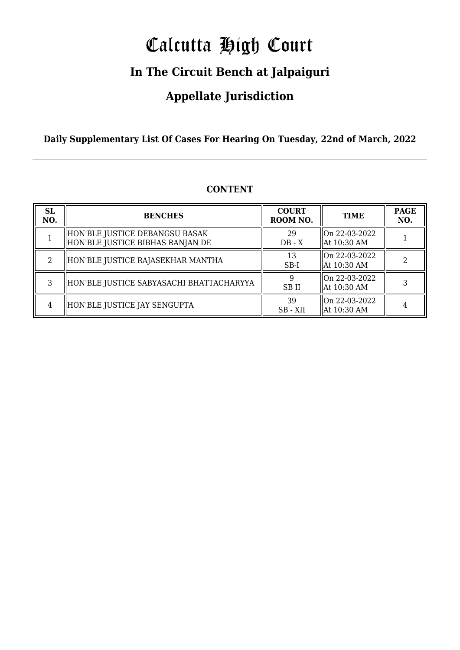# Calcutta High Court

### **In The Circuit Bench at Jalpaiguri**

### **Appellate Jurisdiction**

**Daily Supplementary List Of Cases For Hearing On Tuesday, 22nd of March, 2022**

| <b>SL</b><br>NO. | <b>BENCHES</b>                                                      | <b>COURT</b><br>ROOM NO. | <b>TIME</b>                   | <b>PAGE</b><br>NO. |
|------------------|---------------------------------------------------------------------|--------------------------|-------------------------------|--------------------|
|                  | HON'BLE JUSTICE DEBANGSU BASAK <br>HON'BLE JUSTICE BIBHAS RANJAN DE | 29<br>$DB - X$           | On 22-03-2022<br>At 10:30 AM  |                    |
| 2                | HON'BLE JUSTICE RAJASEKHAR MANTHA                                   | 13<br>$SB-I$             | lOn 22-03-2022<br>At 10:30 AM |                    |
| 3                | HON'BLE JUSTICE SABYASACHI BHATTACHARYYA                            | SB II                    | On 22-03-2022<br>At 10:30 AM  |                    |
| 4                | HON'BLE JUSTICE JAY SENGUPTA                                        | 39<br>SB - XII           | On 22-03-2022<br>At 10:30 AM  |                    |

#### **CONTENT**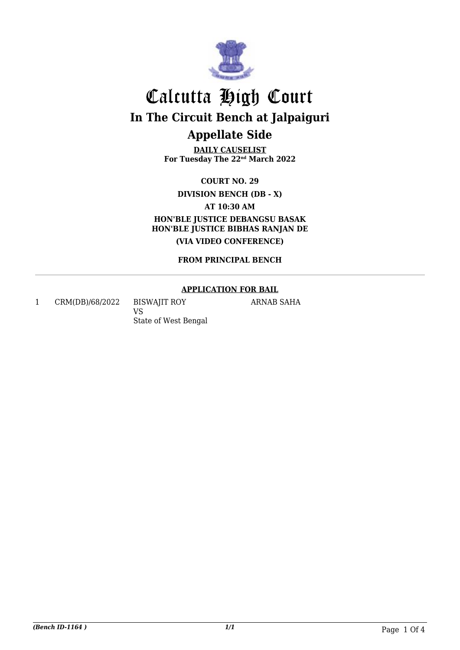

**DAILY CAUSELIST For Tuesday The 22nd March 2022**

**COURT NO. 29**

**DIVISION BENCH (DB - X)**

**AT 10:30 AM**

**HON'BLE JUSTICE DEBANGSU BASAK HON'BLE JUSTICE BIBHAS RANJAN DE (VIA VIDEO CONFERENCE)**

**FROM PRINCIPAL BENCH**

#### **APPLICATION FOR BAIL**

ARNAB SAHA

1 CRM(DB)/68/2022 BISWAJIT ROY

VS State of West Bengal

*(Bench ID-1164 ) 1/1* Page 1 Of 4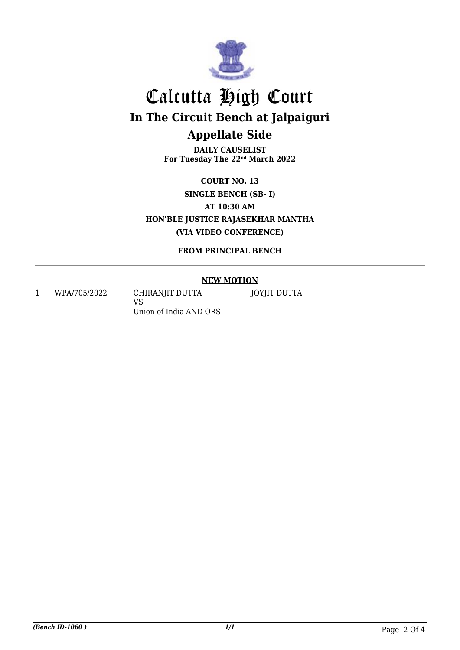

**DAILY CAUSELIST For Tuesday The 22nd March 2022**

**COURT NO. 13 SINGLE BENCH (SB- I) AT 10:30 AM HON'BLE JUSTICE RAJASEKHAR MANTHA (VIA VIDEO CONFERENCE)**

**FROM PRINCIPAL BENCH**

#### **NEW MOTION**

JOYJIT DUTTA

1 WPA/705/2022 CHIRANJIT DUTTA

VS Union of India AND ORS

*(Bench ID-1060 ) 1/1* Page 2 Of 4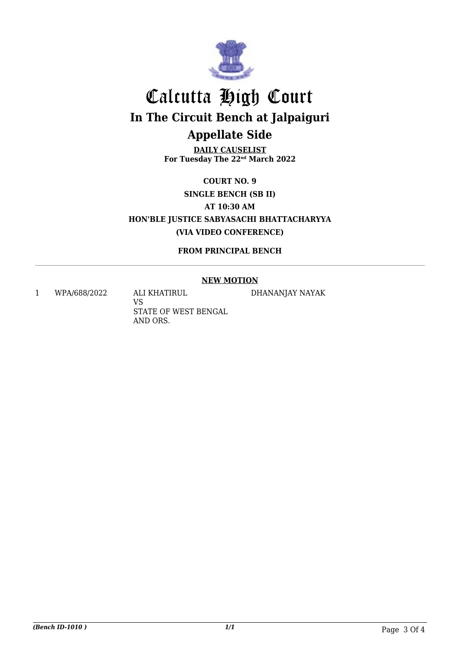

**DAILY CAUSELIST For Tuesday The 22nd March 2022**

**COURT NO. 9 SINGLE BENCH (SB II) AT 10:30 AM HON'BLE JUSTICE SABYASACHI BHATTACHARYYA (VIA VIDEO CONFERENCE)**

**FROM PRINCIPAL BENCH**

#### **NEW MOTION**

DHANANJAY NAYAK

1 WPA/688/2022 ALI KHATIRUL

VS STATE OF WEST BENGAL AND ORS.

*(Bench ID-1010 ) 1/1* Page 3 Of 4